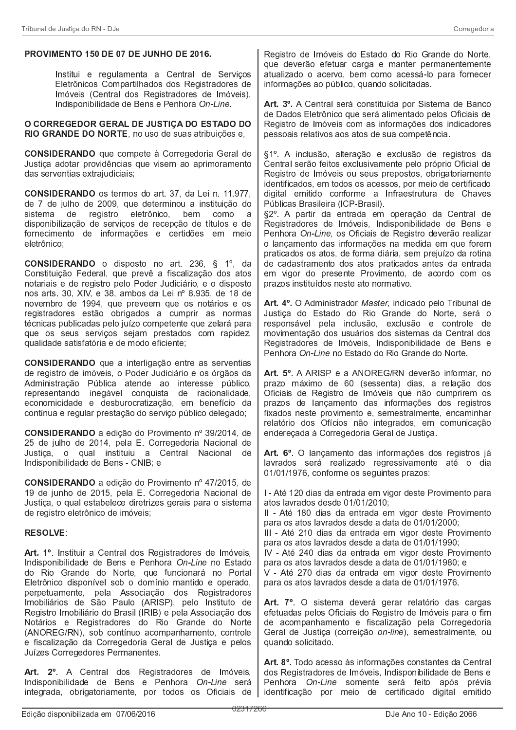## PROVIMENTO 150 DE 07 DE JUNHO DE 2016.

Institui e regulamenta a Central de Servicos Eletrônicos Compartilhados dos Registradores de Imóveis (Central dos Registradores de Imóveis), Indisponibilidade de Bens e Penhora On-Line.

O CORREGEDOR GERAL DE JUSTIÇA DO ESTADO DO RIO GRANDE DO NORTE, no uso de suas atribuições e,

CONSIDERANDO que compete à Corregedoria Geral de Justiça adotar providências que visem ao aprimoramento das serventias extrajudiciais;

CONSIDERANDO os termos do art. 37, da Lei n. 11.977, de 7 de julho de 2009, que determinou a instituição do sistema de registro eletrônico, bem como disponibilização de serviços de recepção de títulos e de fornecimento de informações e certidões em meio eletrônico:

**CONSIDERANDO** o disposto no art. 236, § 1°, da Constituição Federal, que prevê a fiscalização dos atos notariais e de registro pelo Poder Judiciário, e o disposto nos arts. 30, XIV, e 38, ambos da Lei nº 8.935, de 18 de novembro de 1994, que preveem que os notários e os registradores estão obrigados a cumprir as normas técnicas publicadas pelo juízo competente que zelará para que os seus serviços sejam prestados com rapidez, qualidade satisfatória e de modo eficiente;

CONSIDERANDO que a interligação entre as serventias de registro de imóveis, o Poder Judiciário e os órgãos da Administração Pública atende ao interesse público, representando inegável conquista de racionalidade, economicidade e desburocratização, em benefício da contínua e regular prestação do serviço público delegado;

CONSIDERANDO a edição do Provimento nº 39/2014, de 25 de julho de 2014, pela E. Corregedoria Nacional de Justica, o qual instituiu a Central Nacional de Indisponibilidade de Bens - CNIB; e

CONSIDERANDO a edição do Provimento nº 47/2015, de 19 de junho de 2015, pela E. Corregedoria Nacional de Justiça, o qual estabelece diretrizes gerais para o sistema de registro eletrônico de imóveis;

## **RESOLVE:**

Art. 1º. Instituir a Central dos Registradores de Imóveis, Indisponibilidade de Bens e Penhora On-Line no Estado do Rio Grande do Norte, que funcionará no Portal Eletrônico disponível sob o domínio mantido e operado, perpetuamente, pela Associação dos Registradores Imobiliários de São Paulo (ARISP), pelo Instituto de Registro Imobiliário do Brasil (IRIB) e pela Associação dos Notários e Registradores do Rio Grande do Norte (ANOREG/RN), sob contínuo acompanhamento, controle e fiscalização da Corregedoria Geral de Justica e pelos Juízes Corregedores Permanentes.

Art. 2° A Central dos Registradores de Imóveis, Indisponibilidade de Bens e Penhora On-Line será integrada, obrigatoriamente, por todos os Oficiais de Registro de Imóveis do Estado do Rio Grande do Norte, que deverão efetuar carga e manter permanentemente atualizado o acervo, bem como acessá-lo para fornecer informações ao público, quando solicitadas.

Art. 3º. A Central será constituída por Sistema de Banco de Dados Eletrônico que será alimentado pelos Oficiais de Registro de Imóveis com as informações dos indicadores pessoais relativos aos atos de sua competência.

§1º. A inclusão, alteração e exclusão de registros da Central serão feitos exclusivamente pelo próprio Oficial de Registro de Imóveis ou seus prepostos, obrigatoriamente identificados, em todos os acessos, por meio de certificado digital emitido conforme a Infraestrutura de Chaves Públicas Brasileira (ICP-Brasil).

§2º. A partir da entrada em operação da Central de Registradores de Imóveis, Indisponibilidade de Bens e Penhora On-Line, os Oficiais de Registro deverão realizar o lançamento das informações na medida em que forem praticados os atos, de forma diária, sem prejuízo da rotina de cadastramento dos atos praticados antes da entrada em vigor do presente Provimento, de acordo com os prazos instituídos neste ato normativo.

Art. 4°. O Administrador Master, indicado pelo Tribunal de Justiça do Estado do Rio Grande do Norte, será o responsável pela inclusão, exclusão e controle de movimentação dos usuários dos sistemas da Central dos Registradores de Imóveis, Indisponibilidade de Bens e Penhora On-Line no Estado do Rio Grande do Norte.

Art. 5º. A ARISP e a ANOREG/RN deverão informar, no prazo máximo de 60 (sessenta) dias, a relação dos Oficiais de Registro de Imóveis que não cumprirem os prazos de lançamento das informações dos registros fixados neste provimento e, semestralmente, encaminhar relatório dos Ofícios não integrados, em comunicação enderecada à Corregedoria Geral de Justica.

Art. 6° O lancamento das informações dos registros já lavrados será realizado regressivamente até o dia 01/01/1976, conforme os seguintes prazos:

I - Até 120 dias da entrada em vigor deste Provimento para atos lavrados desde 01/01/2010;

II - Até 180 dias da entrada em vigor deste Provimento para os atos lavrados desde a data de 01/01/2000;

III - Até 210 dias da entrada em vigor deste Provimento para os atos lavrados desde a data de 01/01/1990;

IV - Até 240 dias da entrada em vigor deste Provimento para os atos lavrados desde a data de 01/01/1980; e

V - Até 270 dias da entrada em vigor deste Provimento para os atos lavrados desde a data de 01/01/1976.

Art. 7º O sistema deverá gerar relatório das cargas efetuadas pelos Oficiais do Registro de Imóveis para o fim de acompanhamento e fiscalização pela Corregedoria Geral de Justiça (correição on-line), semestralmente, ou quando solicitado.

Art. 8º. Todo acesso às informações constantes da Central dos Registradores de Imóveis, Indisponibilidade de Bens e Penhora On-Line somente será feito após prévia identificação por meio de certificado digital emitido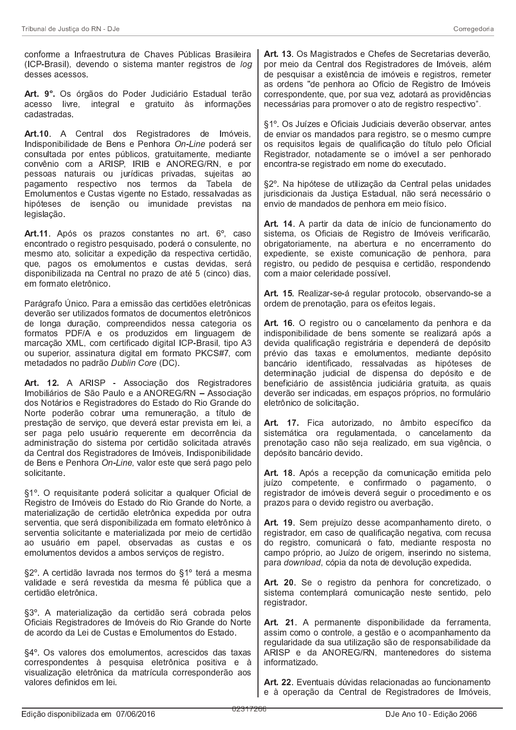conforme a Infraestrutura de Chaves Públicas Brasileira (ICP-Brasil), devendo o sistema manter registros de log desses acessos.

Art. 9°. Os órgãos do Poder Judiciário Estadual terão acesso livre, integral e gratuito às informações cadastradas

Art.10. A Central dos Registradores de Imóveis, Indisponibilidade de Bens e Penhora On-Line poderá ser consultada por entes públicos, gratuitamente, mediante convênio com a ARISP, IRIB e ANOREG/RN, e por pessoas naturais ou jurídicas privadas, sujeitas ao pagamento respectivo nos termos da Tabela de Emolumentos e Custas vigente no Estado, ressalvadas as hipóteses de isenção ou imunidade previstas na legislação

Art.11. Após os prazos constantes no art. 6°, caso encontrado o registro pesquisado, poderá o consulente, no mesmo ato, solicitar a expedição da respectiva certidão, que, pagos os emolumentos e custas devidas, será disponibilizada na Central no prazo de até 5 (cinco) dias, em formato eletrônico.

Parágrafo Unico. Para a emissão das certidões eletrônicas deverão ser utilizados formatos de documentos eletrônicos de longa duração, compreendidos nessa categoria os formatos PDF/A e os produzidos em linguagem de marcação XML, com certificado digital ICP-Brasil, tipo A3 ou superior, assinatura digital em formato PKCS#7, com metadados no padrão Dublin Core (DC).

Art. 12. A ARISP - Associação dos Registradores Imobiliários de São Paulo e a ANOREG/RN - Associação dos Notários e Registradores do Estado do Rio Grande do Norte poderão cobrar uma remuneração, a título de prestação de servico, que deverá estar prevista em lei, a ser paga pelo usuário requerente em decorrência da administração do sistema por certidão solicitada através da Central dos Registradores de Imóveis, Indisponibilidade de Bens e Penhora On-Line, valor este que será pago pelo solicitante.

§1°. O requisitante poderá solicitar a qualquer Oficial de Registro de Imóveis do Estado do Rio Grande do Norte, a materialização de certidão eletrônica expedida por outra serventia, que será disponibilizada em formato eletrônico à serventia solicitante e materializada por meio de certidão ao usuário em papel, observadas as custas e os emolumentos devidos a ambos serviços de registro.

§2º. A certidão lavrada nos termos do §1º terá a mesma validade e será revestida da mesma fé pública que a certidão eletrônica.

§3º. A materialização da certidão será cobrada pelos Oficiais Registradores de Imóveis do Rio Grande do Norte de acordo da Lei de Custas e Emolumentos do Estado.

§4°. Os valores dos emolumentos, acrescidos das taxas correspondentes à pesquisa eletrônica positiva e à visualização eletrônica da matrícula corresponderão aos valores definidos em lei.

Art. 13. Os Magistrados e Chefes de Secretarias deverão, por meio da Central dos Registradores de Imóveis, além de pesquisar a existência de imóveis e registros, remeter as ordens "de penhora ao Ofício de Registro de Imóveis correspondente, que, por sua vez, adotará as providências necessárias para promover o ato de registro respectivo".

§1º. Os Juízes e Oficiais Judiciais deverão observar, antes de enviar os mandados para registro, se o mesmo cumpre os requisitos legais de qualificação do título pelo Oficial Registrador, notadamente se o imóvel a ser penhorado encontra-se registrado em nome do executado.

§2º. Na hipótese de utilização da Central pelas unidades jurisdicionais da Justiça Estadual, não será necessário o envio de mandados de penhora em meio físico.

Art. 14. A partir da data de início de funcionamento do sistema, os Oficiais de Registro de Imóveis verificarão, obrigatoriamente, na abertura e no encerramento do expediente, se existe comunicação de penhora, para registro, ou pedido de pesquisa e certidão, respondendo com a maior celeridade possível.

Art. 15. Realizar-se-á regular protocolo, observando-se a ordem de prenotação, para os efeitos legais.

Art. 16. O registro ou o cancelamento da penhora e da indisponibilidade de bens somente se realizará após a devida qualificação registrária e dependerá de depósito prévio das taxas e emolumentos, mediante depósito bancário identificado, ressalvadas as hipóteses de determinação judicial de dispensa do depósito e de beneficiário de assistência judiciária gratuita, as quais deverão ser indicadas, em espaços próprios, no formulário eletrônico de solicitação.

Art. 17. Fica autorizado, no âmbito específico da sistemática ora regulamentada, o cancelamento da prenotação caso não seja realizado, em sua vigência, o depósito bancário devido.

Art. 18. Após a recepção da comunicação emitida pelo juízo competente, e confirmado o pagamento, o registrador de imóveis deverá seguir o procedimento e os prazos para o devido registro ou averbação.

Art. 19. Sem prejuízo desse acompanhamento direto, o registrador, em caso de qualificação negativa, com recusa do registro, comunicará o fato, mediante resposta no campo próprio, ao Juízo de origem, inserindo no sistema, para download, cópia da nota de devolução expedida.

Art. 20. Se o registro da penhora for concretizado, o sistema contemplará comunicação neste sentido, pelo registrador

Art. 21. A permanente disponibilidade da ferramenta, assim como o controle, a gestão e o acompanhamento da regularidade da sua utilização são de responsabilidade da ARISP e da ANOREG/RN, mantenedores do sistema informatizado

Art. 22. Eventuais dúvidas relacionadas ao funcionamento e à operação da Central de Registradores de Imóveis,